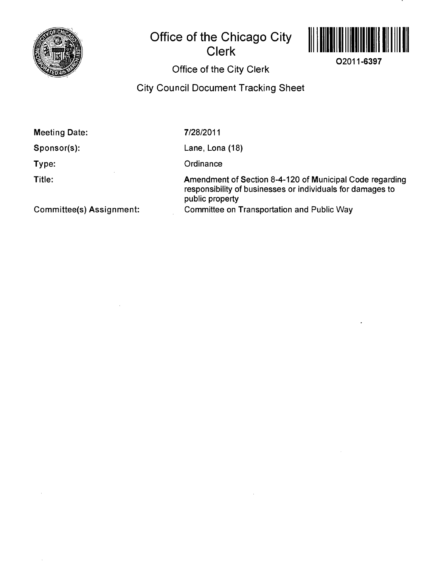

# **Office of the Chicago City Clerk**



**02011-6397** 

## Office of the City Clerk

### City Council Document Tracking Sheet

**Meeting Date:** 

**Sponsor(s):** 

**Type:** 

**Title:** 

7/28/2011

Lane, Lona (18)

**Ordinance** 

Amendment of Section 8-4-120 of Municipal Code regarding responsibility of businesses or individuals for damages to public property Committee on Transportation and Public Way

**Committee(s) Assignment:**